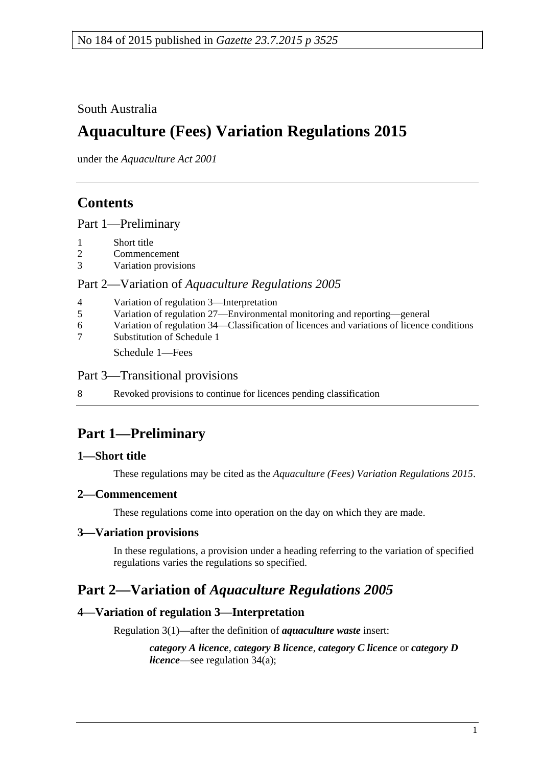### South Australia

# **Aquaculture (Fees) Variation Regulations 2015**

under the *Aquaculture Act 2001*

## **Contents**

Part [1—Preliminary](#page-0-0)

- 1 [Short title](#page-0-1)
- 2 [Commencement](#page-0-2)
- 3 [Variation provisions](#page-0-3)

#### Part 2—Variation of *[Aquaculture Regulations](#page-0-4) 2005*

| $\overline{4}$ | Variation of regulation 3—Interpretation                                                   |
|----------------|--------------------------------------------------------------------------------------------|
| 5              | Variation of regulation 27—Environmental monitoring and reporting—general                  |
| 6              | Variation of regulation 34—Classification of licences and variations of licence conditions |
| $\tau$         | Substitution of Schedule 1                                                                 |
|                | Schedule 1—Fees                                                                            |

Part [3—Transitional provisions](#page-5-0)

8 [Revoked provisions to continue for licences pending classification](#page-5-1)

## <span id="page-0-0"></span>**Part 1—Preliminary**

#### <span id="page-0-1"></span>**1—Short title**

These regulations may be cited as the *Aquaculture (Fees) Variation Regulations 2015*.

#### <span id="page-0-2"></span>**2—Commencement**

These regulations come into operation on the day on which they are made.

### <span id="page-0-3"></span>**3—Variation provisions**

In these regulations, a provision under a heading referring to the variation of specified regulations varies the regulations so specified.

### <span id="page-0-4"></span>**Part 2—Variation of** *Aquaculture Regulations 2005*

### <span id="page-0-5"></span>**4—Variation of regulation 3—Interpretation**

Regulation 3(1)—after the definition of *aquaculture waste* insert:

*category A licence*, *category B licence*, *category C licence* or *category D licence*—see regulation 34(a);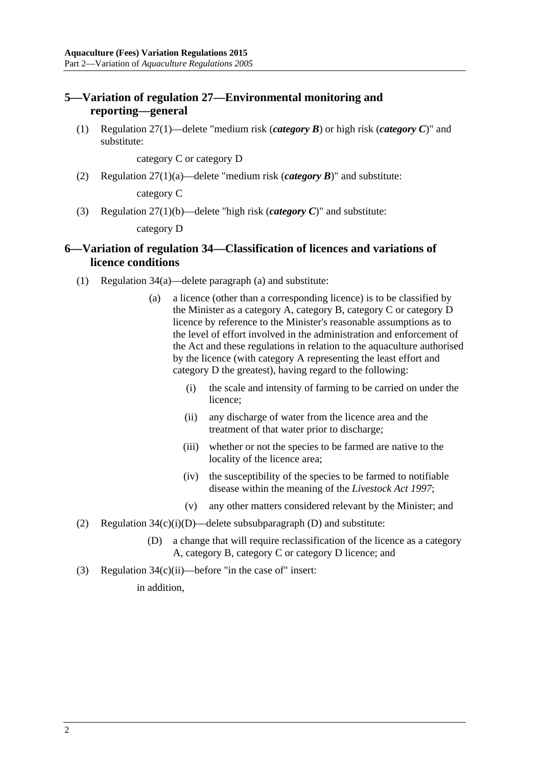#### <span id="page-1-0"></span>**5—Variation of regulation 27—Environmental monitoring and reporting—general**

(1) Regulation 27(1)—delete "medium risk (*category B*) or high risk (*category C*)" and substitute:

category C or category D

(2) Regulation 27(1)(a)—delete "medium risk (*category B*)" and substitute:

category C

(3) Regulation 27(1)(b)—delete "high risk (*category C*)" and substitute:

category D

#### <span id="page-1-1"></span>**6—Variation of regulation 34—Classification of licences and variations of licence conditions**

- (1) Regulation 34(a)—delete paragraph (a) and substitute:
	- (a) a licence (other than a corresponding licence) is to be classified by the Minister as a category A, category B, category C or category D licence by reference to the Minister's reasonable assumptions as to the level of effort involved in the administration and enforcement of the Act and these regulations in relation to the aquaculture authorised by the licence (with category A representing the least effort and category D the greatest), having regard to the following:
		- (i) the scale and intensity of farming to be carried on under the licence;
		- (ii) any discharge of water from the licence area and the treatment of that water prior to discharge;
		- (iii) whether or not the species to be farmed are native to the locality of the licence area;
		- (iv) the susceptibility of the species to be farmed to notifiable disease within the meaning of the *[Livestock Act](http://www.legislation.sa.gov.au/index.aspx?action=legref&type=act&legtitle=Livestock%20Act%201997) 1997*;
		- (v) any other matters considered relevant by the Minister; and
- (2) Regulation  $34(c)(i)(D)$ —delete subsubparagraph (D) and substitute:
	- (D) a change that will require reclassification of the licence as a category A, category B, category C or category D licence; and
- (3) Regulation 34(c)(ii)—before "in the case of" insert:

in addition,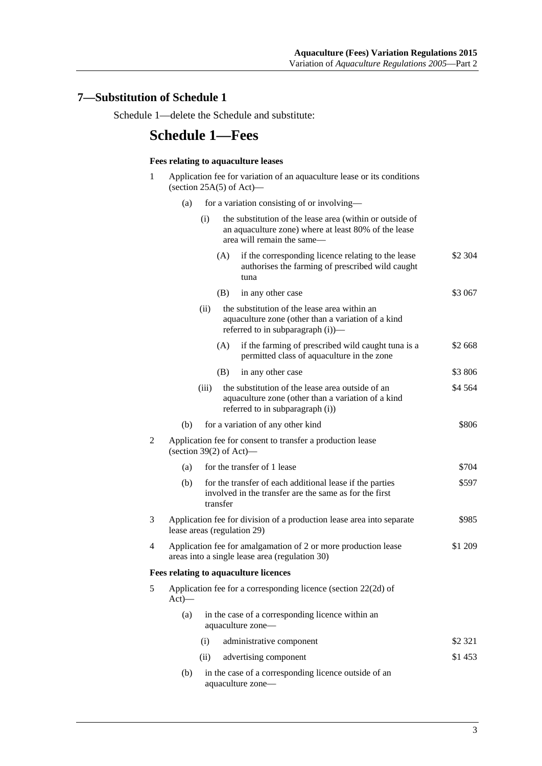### <span id="page-2-0"></span>**7—Substitution of Schedule 1**

Schedule 1—delete the Schedule and substitute:

### **Schedule 1—Fees**

#### **Fees relating to aquaculture leases**

- 1 Application fee for variation of an aquaculture lease or its conditions (section  $25A(5)$  of Act)—
	- (a) for a variation consisting of or involving—

|   |                                                                                                               | (i)                                                                                                                         |          | the substitution of the lease area (within or outside of<br>an aquaculture zone) where at least 80% of the lease<br>area will remain the same— |         |
|---|---------------------------------------------------------------------------------------------------------------|-----------------------------------------------------------------------------------------------------------------------------|----------|------------------------------------------------------------------------------------------------------------------------------------------------|---------|
|   |                                                                                                               |                                                                                                                             | (A)      | if the corresponding licence relating to the lease<br>authorises the farming of prescribed wild caught<br>tuna                                 | \$2 304 |
|   |                                                                                                               |                                                                                                                             | (B)      | in any other case                                                                                                                              | \$3 067 |
|   |                                                                                                               | (ii)                                                                                                                        |          | the substitution of the lease area within an<br>aquaculture zone (other than a variation of a kind<br>referred to in subparagraph (i))-        |         |
|   |                                                                                                               |                                                                                                                             | (A)      | if the farming of prescribed wild caught tuna is a<br>permitted class of aquaculture in the zone                                               | \$2 668 |
|   |                                                                                                               |                                                                                                                             | (B)      | in any other case                                                                                                                              | \$3806  |
|   |                                                                                                               | (iii)                                                                                                                       |          | the substitution of the lease area outside of an<br>aquaculture zone (other than a variation of a kind<br>referred to in subparagraph (i))     | \$4 564 |
|   | (b)                                                                                                           |                                                                                                                             |          | for a variation of any other kind                                                                                                              | \$806   |
| 2 | Application fee for consent to transfer a production lease<br>(section 39 $(2)$ of Act)—                      |                                                                                                                             |          |                                                                                                                                                |         |
|   | (a)                                                                                                           |                                                                                                                             |          | for the transfer of 1 lease                                                                                                                    | \$704   |
|   | (b)                                                                                                           |                                                                                                                             | transfer | for the transfer of each additional lease if the parties<br>involved in the transfer are the same as for the first                             | \$597   |
| 3 | \$985<br>Application fee for division of a production lease area into separate<br>lease areas (regulation 29) |                                                                                                                             |          |                                                                                                                                                |         |
| 4 |                                                                                                               | \$1 209<br>Application fee for amalgamation of 2 or more production lease<br>areas into a single lease area (regulation 30) |          |                                                                                                                                                |         |
|   |                                                                                                               |                                                                                                                             |          | <b>Fees relating to aquaculture licences</b>                                                                                                   |         |
| 5 | $Act)$ —                                                                                                      |                                                                                                                             |          | Application fee for a corresponding licence (section 22(2d) of                                                                                 |         |
|   | (a)                                                                                                           |                                                                                                                             |          | in the case of a corresponding licence within an<br>aquaculture zone—                                                                          |         |
|   |                                                                                                               | (i)                                                                                                                         |          | administrative component                                                                                                                       | \$2 321 |
|   |                                                                                                               | (ii)                                                                                                                        |          | advertising component                                                                                                                          | \$1453  |
|   | (b)                                                                                                           |                                                                                                                             |          | in the case of a corresponding licence outside of an<br>aquaculture zone-                                                                      |         |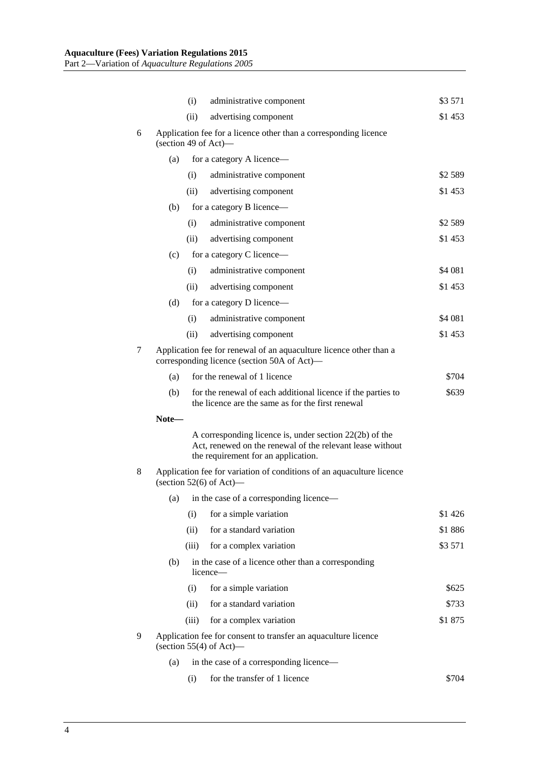|   |                                                                                                                   | (i)                                                             | administrative component                                                                                                                                      | \$3 571 |  |  |
|---|-------------------------------------------------------------------------------------------------------------------|-----------------------------------------------------------------|---------------------------------------------------------------------------------------------------------------------------------------------------------------|---------|--|--|
|   |                                                                                                                   | (ii)                                                            | advertising component                                                                                                                                         | \$1453  |  |  |
| 6 | Application fee for a licence other than a corresponding licence<br>(section 49 of Act)—                          |                                                                 |                                                                                                                                                               |         |  |  |
|   | (a)                                                                                                               |                                                                 | for a category A licence—                                                                                                                                     |         |  |  |
|   |                                                                                                                   | (i)                                                             | administrative component                                                                                                                                      | \$2589  |  |  |
|   |                                                                                                                   | (ii)                                                            | advertising component                                                                                                                                         | \$1 453 |  |  |
|   | (b)                                                                                                               |                                                                 | for a category B licence—                                                                                                                                     |         |  |  |
|   |                                                                                                                   | (i)                                                             | administrative component                                                                                                                                      | \$2589  |  |  |
|   |                                                                                                                   | (ii)                                                            | advertising component                                                                                                                                         | \$1453  |  |  |
|   | (c)                                                                                                               |                                                                 | for a category C licence—                                                                                                                                     |         |  |  |
|   |                                                                                                                   | (i)                                                             | administrative component                                                                                                                                      | \$4 081 |  |  |
|   |                                                                                                                   | (ii)                                                            | advertising component                                                                                                                                         | \$1453  |  |  |
|   | (d)                                                                                                               |                                                                 | for a category D licence—                                                                                                                                     |         |  |  |
|   |                                                                                                                   | (i)                                                             | administrative component                                                                                                                                      | \$4 081 |  |  |
|   |                                                                                                                   | (ii)                                                            | advertising component                                                                                                                                         | \$1453  |  |  |
| 7 | Application fee for renewal of an aquaculture licence other than a<br>corresponding licence (section 50A of Act)— |                                                                 |                                                                                                                                                               |         |  |  |
|   | (a)                                                                                                               |                                                                 | for the renewal of 1 licence                                                                                                                                  | \$704   |  |  |
|   | (b)                                                                                                               |                                                                 | for the renewal of each additional licence if the parties to<br>the licence are the same as for the first renewal                                             | \$639   |  |  |
|   | Note-                                                                                                             |                                                                 |                                                                                                                                                               |         |  |  |
|   |                                                                                                                   |                                                                 | A corresponding licence is, under section $22(2b)$ of the<br>Act, renewed on the renewal of the relevant lease without<br>the requirement for an application. |         |  |  |
| 8 | Application fee for variation of conditions of an aquaculture licence<br>(section $52(6)$ of Act)—                |                                                                 |                                                                                                                                                               |         |  |  |
|   |                                                                                                                   |                                                                 | (a) in the case of a corresponding licence—                                                                                                                   |         |  |  |
|   |                                                                                                                   | (i)                                                             | for a simple variation                                                                                                                                        | \$1426  |  |  |
|   |                                                                                                                   | (ii)                                                            | for a standard variation                                                                                                                                      | \$1886  |  |  |
|   |                                                                                                                   | (iii)                                                           | for a complex variation                                                                                                                                       | \$3 571 |  |  |
|   | (b)                                                                                                               | in the case of a licence other than a corresponding<br>licence- |                                                                                                                                                               |         |  |  |
|   |                                                                                                                   | (i)                                                             | for a simple variation                                                                                                                                        | \$625   |  |  |
|   |                                                                                                                   | (ii)                                                            | for a standard variation                                                                                                                                      | \$733   |  |  |
|   |                                                                                                                   | (iii)                                                           | for a complex variation                                                                                                                                       | \$1875  |  |  |
| 9 | Application fee for consent to transfer an aquaculture licence<br>(section $55(4)$ of Act)—                       |                                                                 |                                                                                                                                                               |         |  |  |
|   | (a)                                                                                                               |                                                                 | in the case of a corresponding licence—                                                                                                                       |         |  |  |
|   |                                                                                                                   | (i)                                                             | for the transfer of 1 licence                                                                                                                                 | \$704   |  |  |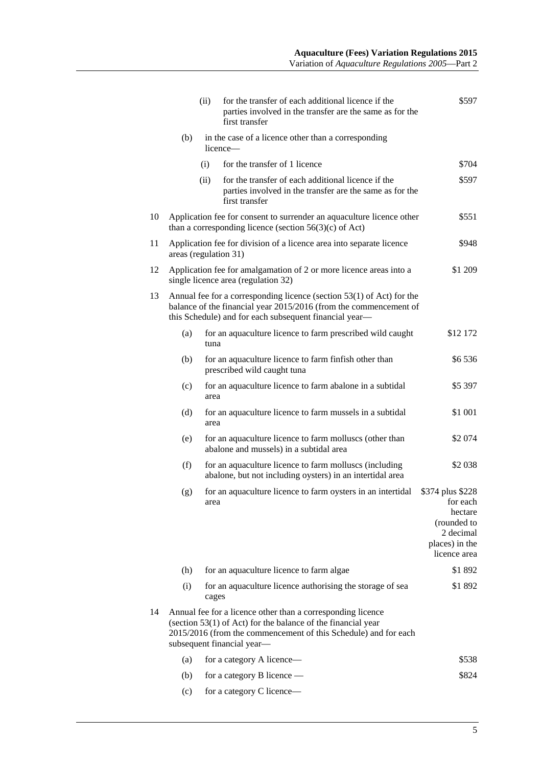|    |                                                                                                                                                                                                                              | (ii)  | for the transfer of each additional licence if the<br>parties involved in the transfer are the same as for the<br>first transfer | \$597                                                                                                 |  |  |
|----|------------------------------------------------------------------------------------------------------------------------------------------------------------------------------------------------------------------------------|-------|----------------------------------------------------------------------------------------------------------------------------------|-------------------------------------------------------------------------------------------------------|--|--|
|    | (b)<br>licence—                                                                                                                                                                                                              |       | in the case of a licence other than a corresponding                                                                              |                                                                                                       |  |  |
|    |                                                                                                                                                                                                                              | (i)   | for the transfer of 1 licence                                                                                                    | \$704                                                                                                 |  |  |
|    |                                                                                                                                                                                                                              | (ii)  | for the transfer of each additional licence if the<br>parties involved in the transfer are the same as for the<br>first transfer | \$597                                                                                                 |  |  |
| 10 | \$551<br>Application fee for consent to surrender an aquaculture licence other<br>than a corresponding licence (section $56(3)(c)$ of Act)                                                                                   |       |                                                                                                                                  |                                                                                                       |  |  |
| 11 | Application fee for division of a licence area into separate licence<br>\$948<br>areas (regulation 31)                                                                                                                       |       |                                                                                                                                  |                                                                                                       |  |  |
| 12 | \$1 209<br>Application fee for amalgamation of 2 or more licence areas into a<br>single licence area (regulation 32)                                                                                                         |       |                                                                                                                                  |                                                                                                       |  |  |
| 13 | Annual fee for a corresponding licence (section $53(1)$ of Act) for the<br>balance of the financial year 2015/2016 (from the commencement of<br>this Schedule) and for each subsequent financial year-                       |       |                                                                                                                                  |                                                                                                       |  |  |
|    | (a)                                                                                                                                                                                                                          | tuna  | for an aquaculture licence to farm prescribed wild caught                                                                        | \$12 172                                                                                              |  |  |
|    | (b)                                                                                                                                                                                                                          |       | for an aquaculture licence to farm finfish other than<br>prescribed wild caught tuna                                             | \$6536                                                                                                |  |  |
|    | (c)                                                                                                                                                                                                                          | area  | for an aquaculture licence to farm abalone in a subtidal                                                                         | \$5 397                                                                                               |  |  |
|    | (d)                                                                                                                                                                                                                          | area  | for an aquaculture licence to farm mussels in a subtidal                                                                         | \$1 001                                                                                               |  |  |
|    | (e)                                                                                                                                                                                                                          |       | for an aquaculture licence to farm molluscs (other than<br>abalone and mussels) in a subtidal area                               | \$2 074                                                                                               |  |  |
|    | (f)                                                                                                                                                                                                                          |       | for an aquaculture licence to farm molluscs (including<br>abalone, but not including oysters) in an intertidal area              | \$2 0 38                                                                                              |  |  |
|    | (g)                                                                                                                                                                                                                          | area  | for an aquaculture licence to farm oysters in an intertidal                                                                      | \$374 plus \$228<br>for each<br>hectare<br>(rounded to<br>2 decimal<br>places) in the<br>licence area |  |  |
|    | (h)                                                                                                                                                                                                                          |       | for an aquaculture licence to farm algae                                                                                         | \$1892                                                                                                |  |  |
|    | (i)                                                                                                                                                                                                                          | cages | for an aquaculture licence authorising the storage of sea                                                                        | \$1892                                                                                                |  |  |
| 14 | Annual fee for a licence other than a corresponding licence<br>(section 53(1) of Act) for the balance of the financial year<br>2015/2016 (from the commencement of this Schedule) and for each<br>subsequent financial year- |       |                                                                                                                                  |                                                                                                       |  |  |
|    | (a)                                                                                                                                                                                                                          |       | for a category A licence—                                                                                                        | \$538                                                                                                 |  |  |
|    | (b)                                                                                                                                                                                                                          |       | for a category B licence —                                                                                                       | \$824                                                                                                 |  |  |
|    | (c)                                                                                                                                                                                                                          |       | for a category C licence-                                                                                                        |                                                                                                       |  |  |